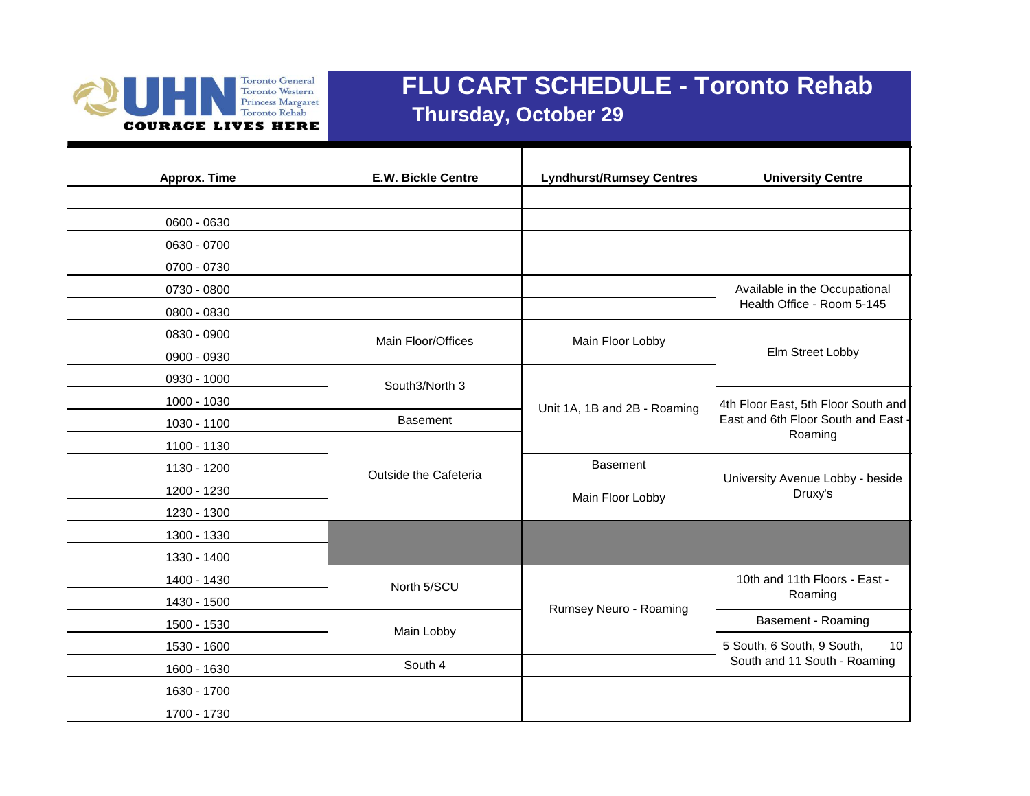

## **FLU CART SCHEDULE - Toronto Rehab Thursday, October 29**

| Approx. Time | <b>E.W. Bickle Centre</b> | <b>Lyndhurst/Rumsey Centres</b> | <b>University Centre</b>                                                   |
|--------------|---------------------------|---------------------------------|----------------------------------------------------------------------------|
| 0600 - 0630  |                           |                                 |                                                                            |
| 0630 - 0700  |                           |                                 |                                                                            |
| 0700 - 0730  |                           |                                 |                                                                            |
| 0730 - 0800  |                           |                                 | Available in the Occupational                                              |
| 0800 - 0830  |                           |                                 | Health Office - Room 5-145                                                 |
| 0830 - 0900  | Main Floor/Offices        | Main Floor Lobby                |                                                                            |
| 0900 - 0930  |                           |                                 | Elm Street Lobby                                                           |
| 0930 - 1000  | South3/North 3            |                                 |                                                                            |
| 1000 - 1030  |                           | Unit 1A, 1B and 2B - Roaming    | 4th Floor East, 5th Floor South and<br>East and 6th Floor South and East - |
| 1030 - 1100  | <b>Basement</b>           |                                 |                                                                            |
| 1100 - 1130  | Outside the Cafeteria     |                                 | Roaming                                                                    |
| 1130 - 1200  |                           | <b>Basement</b>                 |                                                                            |
| 1200 - 1230  |                           | Main Floor Lobby                | University Avenue Lobby - beside<br>Druxy's                                |
| 1230 - 1300  |                           |                                 |                                                                            |
| 1300 - 1330  |                           |                                 |                                                                            |
| 1330 - 1400  |                           |                                 |                                                                            |
| 1400 - 1430  | North 5/SCU               |                                 | 10th and 11th Floors - East -<br>Roaming                                   |
| 1430 - 1500  |                           | Rumsey Neuro - Roaming          |                                                                            |
| 1500 - 1530  | Main Lobby                |                                 | Basement - Roaming                                                         |
| 1530 - 1600  |                           |                                 | 5 South, 6 South, 9 South,<br>10 <sup>1</sup>                              |
| 1600 - 1630  | South 4                   |                                 | South and 11 South - Roaming                                               |
| 1630 - 1700  |                           |                                 |                                                                            |
| 1700 - 1730  |                           |                                 |                                                                            |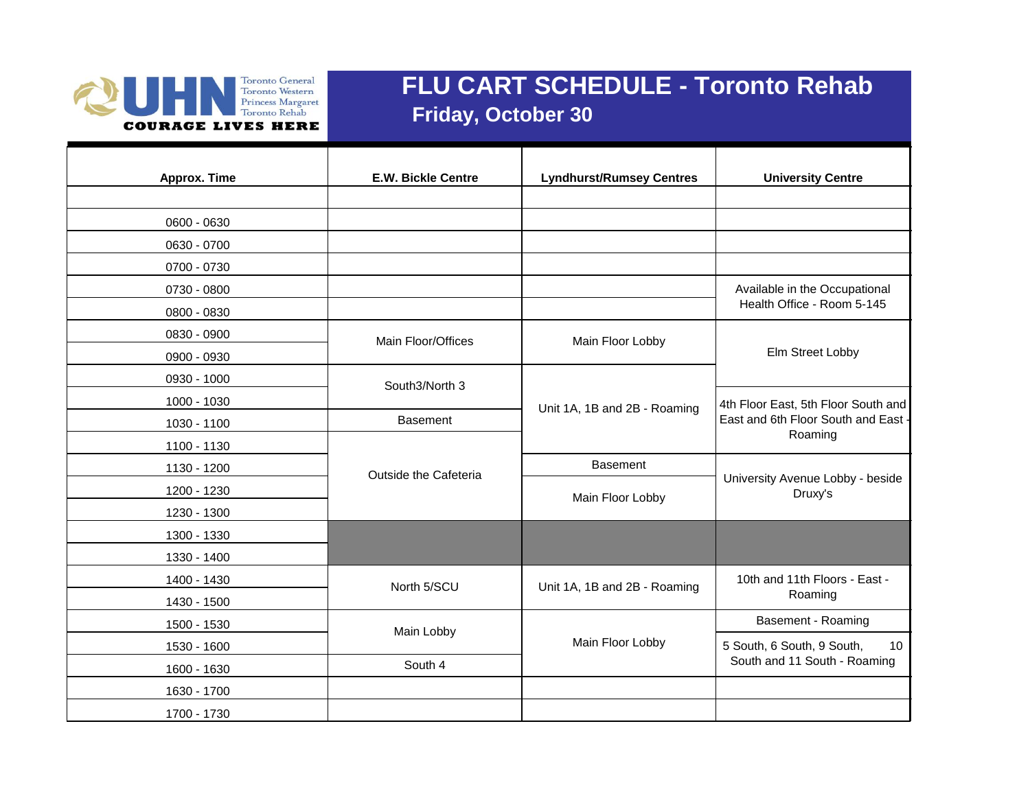

## **FLU CART SCHEDULE - Toronto Rehab Friday, October 30**

| Approx. Time | <b>E.W. Bickle Centre</b> | <b>Lyndhurst/Rumsey Centres</b> | <b>University Centre</b>                                                              |
|--------------|---------------------------|---------------------------------|---------------------------------------------------------------------------------------|
|              |                           |                                 |                                                                                       |
| 0600 - 0630  |                           |                                 |                                                                                       |
| 0630 - 0700  |                           |                                 |                                                                                       |
| 0700 - 0730  |                           |                                 |                                                                                       |
| 0730 - 0800  |                           |                                 | Available in the Occupational                                                         |
| 0800 - 0830  |                           |                                 | Health Office - Room 5-145                                                            |
| 0830 - 0900  | Main Floor/Offices        | Main Floor Lobby                |                                                                                       |
| 0900 - 0930  |                           |                                 | Elm Street Lobby                                                                      |
| 0930 - 1000  | South3/North 3            | Unit 1A, 1B and 2B - Roaming    | 4th Floor East, 5th Floor South and<br>East and 6th Floor South and East -<br>Roaming |
| 1000 - 1030  |                           |                                 |                                                                                       |
| 1030 - 1100  | <b>Basement</b>           |                                 |                                                                                       |
| 1100 - 1130  | Outside the Cafeteria     |                                 |                                                                                       |
| 1130 - 1200  |                           | <b>Basement</b>                 |                                                                                       |
| 1200 - 1230  |                           | Main Floor Lobby                | University Avenue Lobby - beside<br>Druxy's                                           |
| 1230 - 1300  |                           |                                 |                                                                                       |
| 1300 - 1330  |                           |                                 |                                                                                       |
| 1330 - 1400  |                           |                                 |                                                                                       |
| 1400 - 1430  | North 5/SCU               | Unit 1A, 1B and 2B - Roaming    | 10th and 11th Floors - East -                                                         |
| 1430 - 1500  |                           |                                 | Roaming                                                                               |
| 1500 - 1530  | Main Lobby                | Main Floor Lobby                | Basement - Roaming                                                                    |
| 1530 - 1600  |                           |                                 | 10<br>5 South, 6 South, 9 South,                                                      |
| 1600 - 1630  | South 4                   |                                 | South and 11 South - Roaming                                                          |
| 1630 - 1700  |                           |                                 |                                                                                       |
| 1700 - 1730  |                           |                                 |                                                                                       |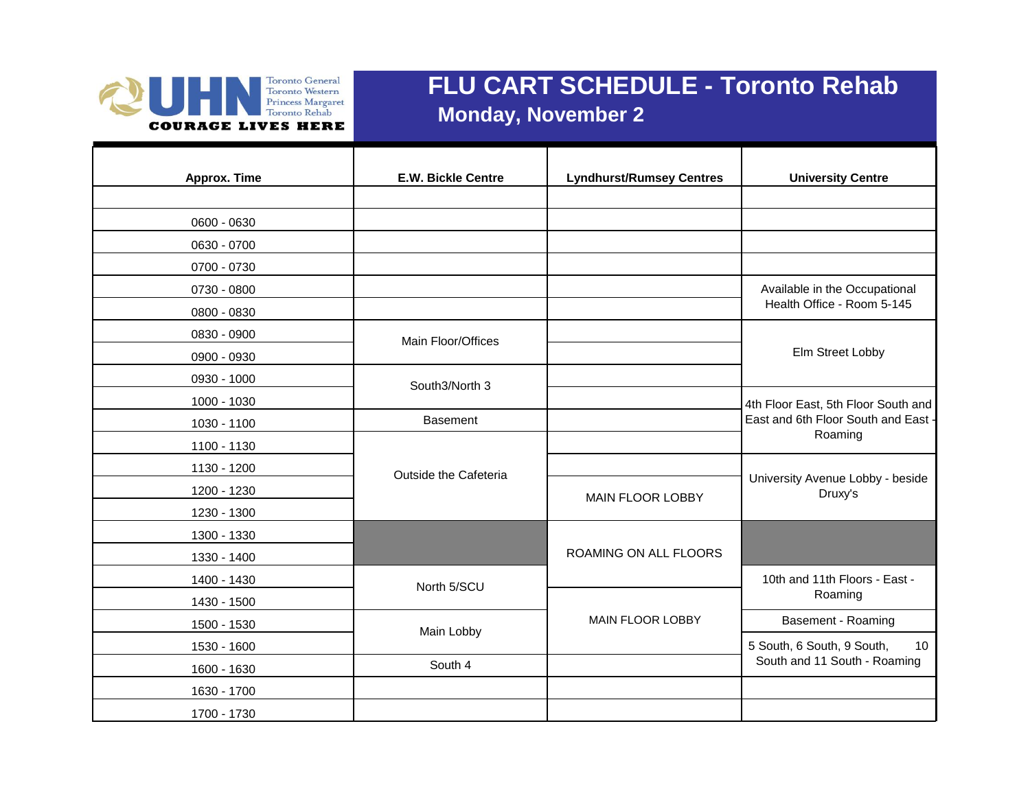

## **FLU CART SCHEDULE - Toronto Rehab Monday, November 2**

| <b>Approx. Time</b> | <b>E.W. Bickle Centre</b> | <b>Lyndhurst/Rumsey Centres</b> | <b>University Centre</b>                    |
|---------------------|---------------------------|---------------------------------|---------------------------------------------|
|                     |                           |                                 |                                             |
| 0600 - 0630         |                           |                                 |                                             |
| 0630 - 0700         |                           |                                 |                                             |
| 0700 - 0730         |                           |                                 |                                             |
| 0730 - 0800         |                           |                                 | Available in the Occupational               |
| 0800 - 0830         |                           |                                 | Health Office - Room 5-145                  |
| 0830 - 0900         | Main Floor/Offices        |                                 |                                             |
| 0900 - 0930         |                           |                                 | Elm Street Lobby                            |
| 0930 - 1000         | South3/North 3            |                                 |                                             |
| 1000 - 1030         |                           |                                 | 4th Floor East, 5th Floor South and         |
| 1030 - 1100         | <b>Basement</b>           |                                 | East and 6th Floor South and East           |
| 1100 - 1130         |                           |                                 | Roaming                                     |
| 1130 - 1200         | Outside the Cafeteria     |                                 |                                             |
| 1200 - 1230         |                           | <b>MAIN FLOOR LOBBY</b>         | University Avenue Lobby - beside<br>Druxy's |
| 1230 - 1300         |                           |                                 |                                             |
| 1300 - 1330         |                           |                                 |                                             |
| 1330 - 1400         |                           | ROAMING ON ALL FLOORS           |                                             |
| 1400 - 1430         | North 5/SCU               |                                 | 10th and 11th Floors - East -               |
| 1430 - 1500         |                           |                                 | Roaming                                     |
| 1500 - 1530         | Main Lobby                | MAIN FLOOR LOBBY                | Basement - Roaming                          |
| 1530 - 1600         |                           |                                 | 5 South, 6 South, 9 South,<br>10            |
| 1600 - 1630         | South 4                   |                                 | South and 11 South - Roaming                |
| 1630 - 1700         |                           |                                 |                                             |
| 1700 - 1730         |                           |                                 |                                             |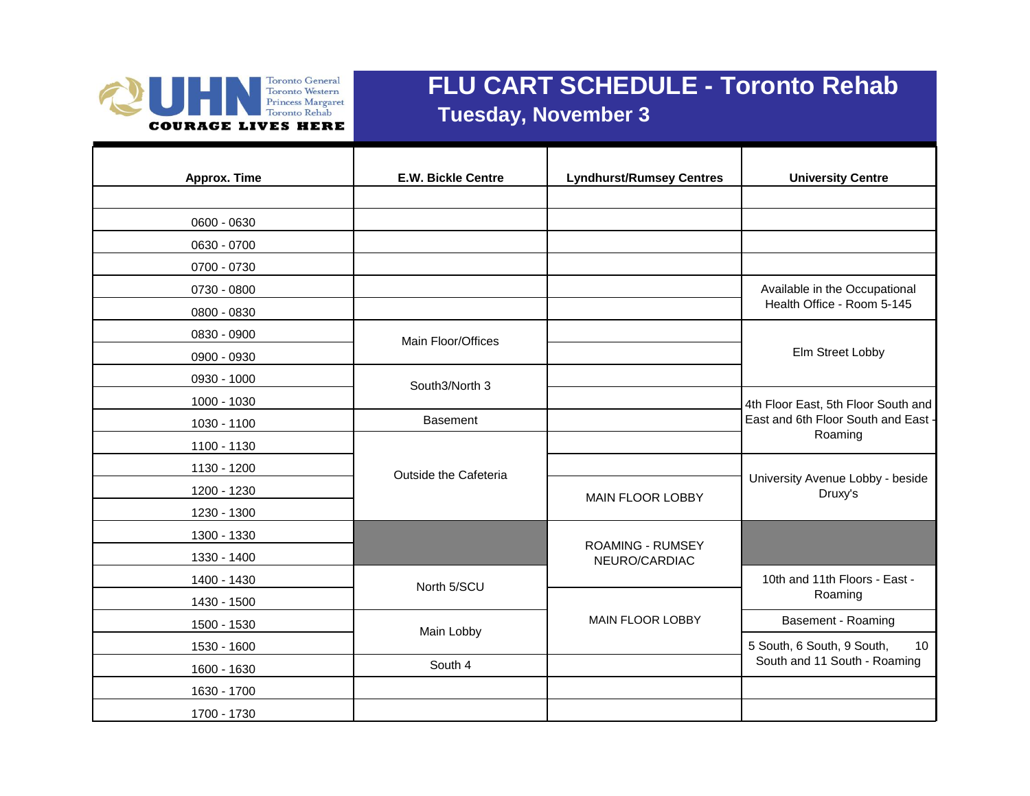

## **FLU CART SCHEDULE - Toronto Rehab Tuesday, November 3**

| Approx. Time | <b>E.W. Bickle Centre</b> | <b>Lyndhurst/Rumsey Centres</b> | <b>University Centre</b>                    |
|--------------|---------------------------|---------------------------------|---------------------------------------------|
|              |                           |                                 |                                             |
| 0600 - 0630  |                           |                                 |                                             |
| 0630 - 0700  |                           |                                 |                                             |
| 0700 - 0730  |                           |                                 |                                             |
| 0730 - 0800  |                           |                                 | Available in the Occupational               |
| 0800 - 0830  |                           |                                 | Health Office - Room 5-145                  |
| 0830 - 0900  | Main Floor/Offices        |                                 |                                             |
| 0900 - 0930  |                           |                                 | Elm Street Lobby                            |
| 0930 - 1000  | South3/North 3            |                                 |                                             |
| 1000 - 1030  |                           |                                 | 4th Floor East, 5th Floor South and         |
| 1030 - 1100  | <b>Basement</b>           |                                 | East and 6th Floor South and East           |
| 1100 - 1130  |                           |                                 | Roaming                                     |
| 1130 - 1200  | Outside the Cafeteria     |                                 |                                             |
| 1200 - 1230  |                           | <b>MAIN FLOOR LOBBY</b>         | University Avenue Lobby - beside<br>Druxy's |
| 1230 - 1300  |                           |                                 |                                             |
| 1300 - 1330  |                           | <b>ROAMING - RUMSEY</b>         |                                             |
| 1330 - 1400  |                           | NEURO/CARDIAC                   |                                             |
| 1400 - 1430  | North 5/SCU               |                                 | 10th and 11th Floors - East -               |
| 1430 - 1500  |                           |                                 | Roaming                                     |
| 1500 - 1530  | Main Lobby                | <b>MAIN FLOOR LOBBY</b>         | Basement - Roaming                          |
| 1530 - 1600  |                           |                                 | 5 South, 6 South, 9 South,<br>10            |
| 1600 - 1630  | South 4                   |                                 | South and 11 South - Roaming                |
| 1630 - 1700  |                           |                                 |                                             |
| 1700 - 1730  |                           |                                 |                                             |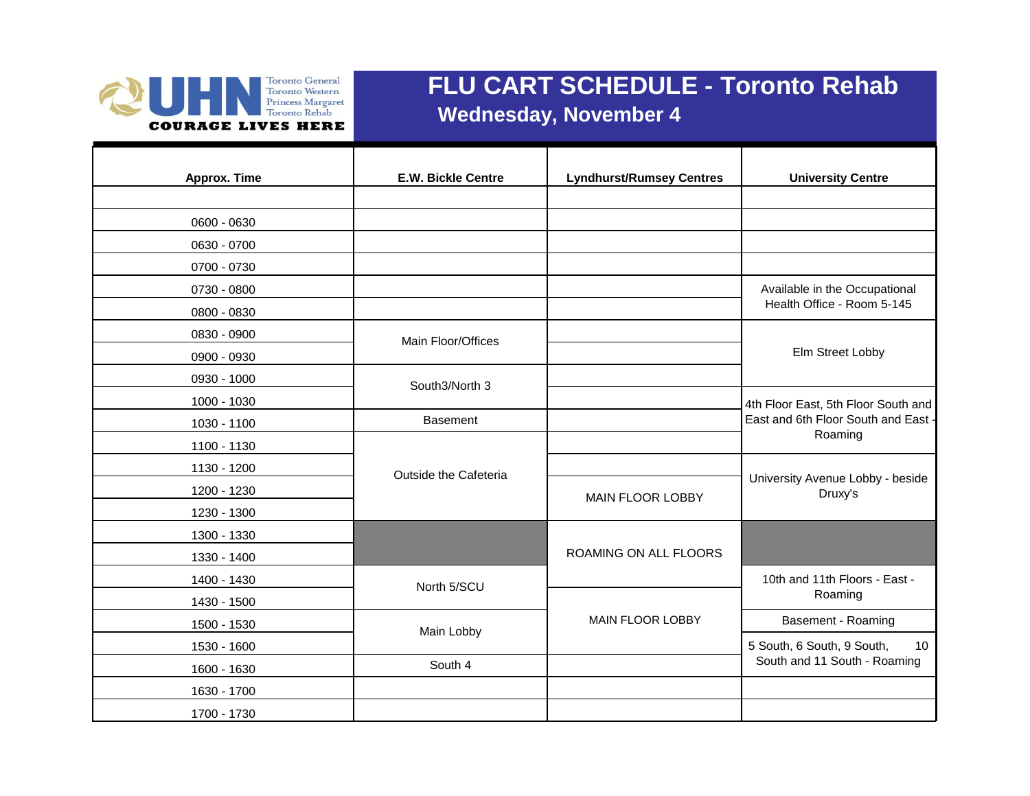

### **FLU CART SCHEDULE - Toronto Rehab Wednesday, November 4**

**Approx. Time E.W. Bickle Centre Lyndhurst/Rumsey Centres University Centre** 0600 - 0630 0630 - 0700 0700 - 0730 0730 - 0800 0800 - 0830 0830 - 0900 0900 - 0930 0930 - 1000 1000 - 1030 1030 - 1100 **Basement** 1100 - 1130 1130 - 1200 1200 - 1230 1230 - 1300 1300 - 1330 1330 - 1400 1400 - 1430 1430 - 1500 1500 - 1530 **Basement - Roaming** MAIN FLOOR LOBBY **Basement - Roaming** 1530 - 1600 1600 - 1630 **South 4** 1630 - 1700 1700 - 1730 North 5/SCU **10th and 11th Floors - East -**Roaming Main Lobby 5 South, 6 South, 9 South, 10 South and 11 South - Roaming ROAMING ON ALL FLOORS MAIN FLOOR LOBBY Outside the Cafeteria **Exercise Service Contract Contract Contract Contract Contract Contract Contract Contract Contract Contract Contract Contract Contract Contract Contract Contract Contract Contract Contract Contract Co** MAIN FLOOR LOBBY **Druxy's** Available in the Occupational Health Office - Room 5-145 Main Floor/Offices Elm Street Lobby South3/North 3 4th Floor East, 5th Floor South and East and 6th Floor South and East - Roaming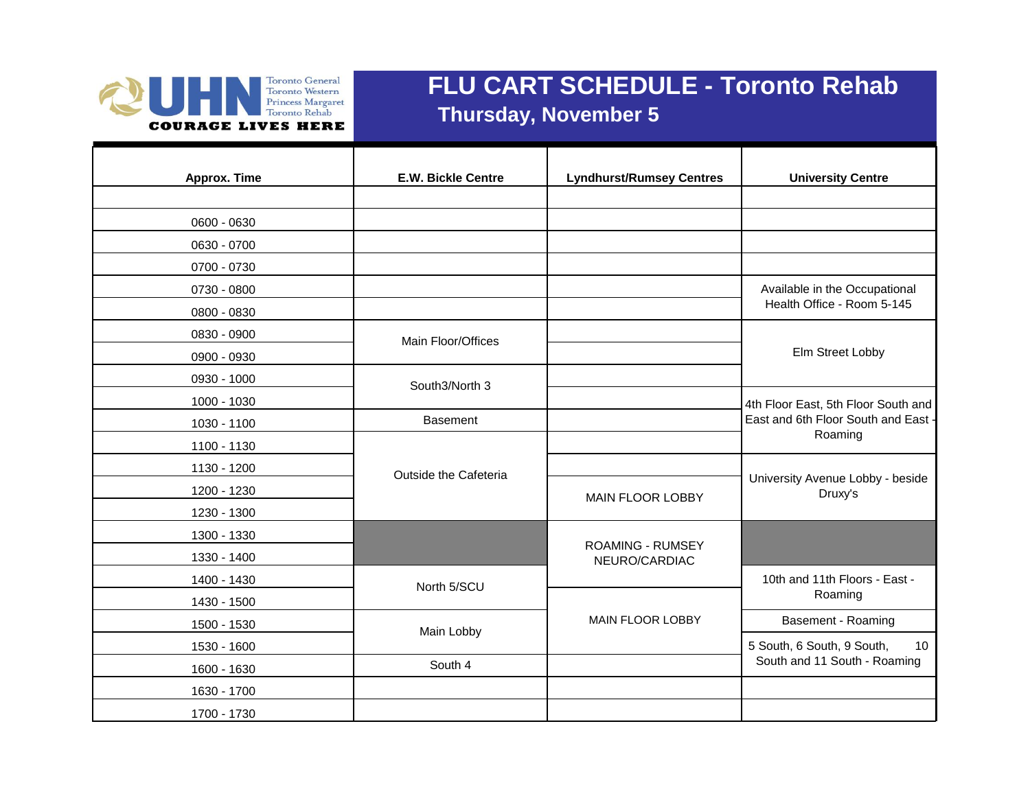

## **FLU CART SCHEDULE - Toronto Rehab Thursday, November 5**

| <b>Approx. Time</b> | <b>E.W. Bickle Centre</b> | <b>Lyndhurst/Rumsey Centres</b>          | <b>University Centre</b>                    |
|---------------------|---------------------------|------------------------------------------|---------------------------------------------|
|                     |                           |                                          |                                             |
| 0600 - 0630         |                           |                                          |                                             |
| 0630 - 0700         |                           |                                          |                                             |
| 0700 - 0730         |                           |                                          |                                             |
| 0730 - 0800         |                           |                                          | Available in the Occupational               |
| 0800 - 0830         |                           |                                          | Health Office - Room 5-145                  |
| 0830 - 0900         | Main Floor/Offices        |                                          |                                             |
| 0900 - 0930         |                           |                                          | Elm Street Lobby                            |
| 0930 - 1000         | South3/North 3            |                                          |                                             |
| 1000 - 1030         |                           |                                          | 4th Floor East, 5th Floor South and         |
| 1030 - 1100         | <b>Basement</b>           |                                          | East and 6th Floor South and East -         |
| 1100 - 1130         |                           |                                          | Roaming                                     |
| 1130 - 1200         | Outside the Cafeteria     |                                          |                                             |
| 1200 - 1230         |                           | <b>MAIN FLOOR LOBBY</b>                  | University Avenue Lobby - beside<br>Druxy's |
| 1230 - 1300         |                           |                                          |                                             |
| 1300 - 1330         |                           |                                          |                                             |
| 1330 - 1400         |                           | <b>ROAMING - RUMSEY</b><br>NEURO/CARDIAC |                                             |
| 1400 - 1430         | North 5/SCU               |                                          | 10th and 11th Floors - East -               |
| 1430 - 1500         |                           |                                          | Roaming                                     |
| 1500 - 1530         | Main Lobby                | <b>MAIN FLOOR LOBBY</b>                  | Basement - Roaming                          |
| 1530 - 1600         |                           |                                          | 5 South, 6 South, 9 South,<br>10            |
| 1600 - 1630         | South 4                   |                                          | South and 11 South - Roaming                |
| 1630 - 1700         |                           |                                          |                                             |
| 1700 - 1730         |                           |                                          |                                             |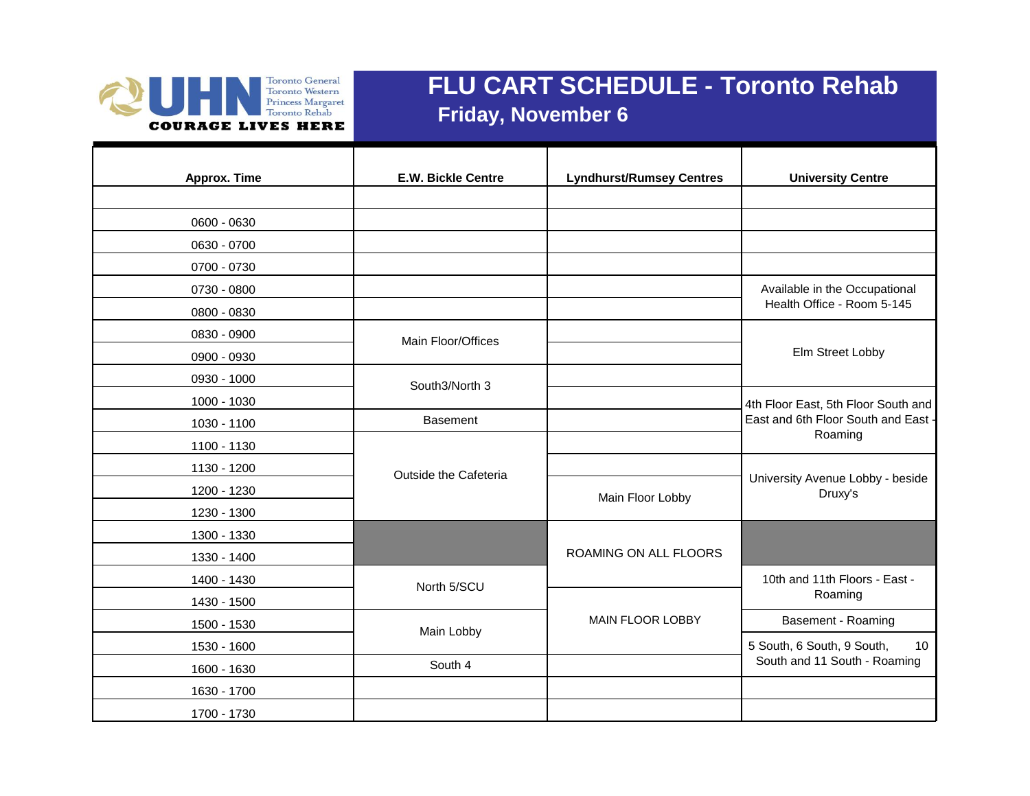

## **FLU CART SCHEDULE - Toronto Rehab Friday, November 6**

| Approx. Time | <b>E.W. Bickle Centre</b> | <b>Lyndhurst/Rumsey Centres</b> | <b>University Centre</b>                                    |
|--------------|---------------------------|---------------------------------|-------------------------------------------------------------|
| 0600 - 0630  |                           |                                 |                                                             |
|              |                           |                                 |                                                             |
| 0630 - 0700  |                           |                                 |                                                             |
| 0700 - 0730  |                           |                                 |                                                             |
| 0730 - 0800  |                           |                                 | Available in the Occupational<br>Health Office - Room 5-145 |
| 0800 - 0830  |                           |                                 |                                                             |
| 0830 - 0900  | Main Floor/Offices        |                                 |                                                             |
| 0900 - 0930  |                           |                                 | Elm Street Lobby                                            |
| 0930 - 1000  | South3/North 3            |                                 |                                                             |
| 1000 - 1030  |                           |                                 | 4th Floor East, 5th Floor South and                         |
| 1030 - 1100  | <b>Basement</b>           |                                 | East and 6th Floor South and East -                         |
| 1100 - 1130  |                           |                                 | Roaming                                                     |
| 1130 - 1200  | Outside the Cafeteria     |                                 |                                                             |
| 1200 - 1230  |                           | Main Floor Lobby                | University Avenue Lobby - beside<br>Druxy's                 |
| 1230 - 1300  |                           |                                 |                                                             |
| 1300 - 1330  |                           |                                 |                                                             |
| 1330 - 1400  |                           | ROAMING ON ALL FLOORS           |                                                             |
| 1400 - 1430  | North 5/SCU               |                                 | 10th and 11th Floors - East -                               |
| 1430 - 1500  |                           |                                 | Roaming                                                     |
| 1500 - 1530  | Main Lobby                | MAIN FLOOR LOBBY                | Basement - Roaming                                          |
| 1530 - 1600  |                           |                                 | 5 South, 6 South, 9 South,<br>10                            |
| 1600 - 1630  | South 4                   |                                 | South and 11 South - Roaming                                |
| 1630 - 1700  |                           |                                 |                                                             |
| 1700 - 1730  |                           |                                 |                                                             |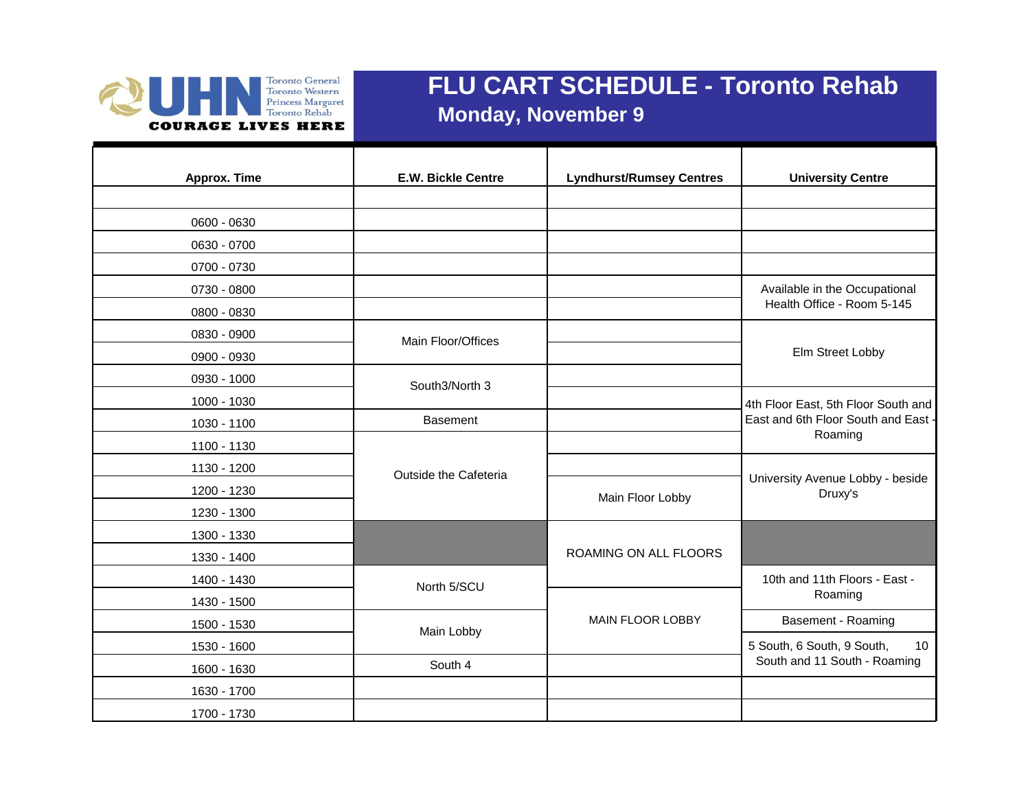

## **FLU CART SCHEDULE - Toronto Rehab Monday, November 9**

| Approx. Time | <b>E.W. Bickle Centre</b> | <b>Lyndhurst/Rumsey Centres</b> | <b>University Centre</b>                    |
|--------------|---------------------------|---------------------------------|---------------------------------------------|
|              |                           |                                 |                                             |
| 0600 - 0630  |                           |                                 |                                             |
| 0630 - 0700  |                           |                                 |                                             |
| 0700 - 0730  |                           |                                 |                                             |
| 0730 - 0800  |                           |                                 | Available in the Occupational               |
| 0800 - 0830  |                           |                                 | Health Office - Room 5-145                  |
| 0830 - 0900  | Main Floor/Offices        |                                 |                                             |
| 0900 - 0930  |                           |                                 | Elm Street Lobby                            |
| 0930 - 1000  | South3/North 3            |                                 |                                             |
| 1000 - 1030  |                           |                                 | 4th Floor East, 5th Floor South and         |
| 1030 - 1100  | <b>Basement</b>           |                                 | East and 6th Floor South and East           |
| 1100 - 1130  |                           |                                 | Roaming                                     |
| 1130 - 1200  | Outside the Cafeteria     |                                 |                                             |
| 1200 - 1230  |                           | Main Floor Lobby                | University Avenue Lobby - beside<br>Druxy's |
| 1230 - 1300  |                           |                                 |                                             |
| 1300 - 1330  |                           |                                 |                                             |
| 1330 - 1400  |                           | ROAMING ON ALL FLOORS           |                                             |
| 1400 - 1430  | North 5/SCU               |                                 | 10th and 11th Floors - East -               |
| 1430 - 1500  |                           |                                 | Roaming                                     |
| 1500 - 1530  | Main Lobby                | MAIN FLOOR LOBBY                | Basement - Roaming                          |
| 1530 - 1600  |                           |                                 | 5 South, 6 South, 9 South,<br>10            |
| 1600 - 1630  | South 4                   |                                 | South and 11 South - Roaming                |
| 1630 - 1700  |                           |                                 |                                             |
| 1700 - 1730  |                           |                                 |                                             |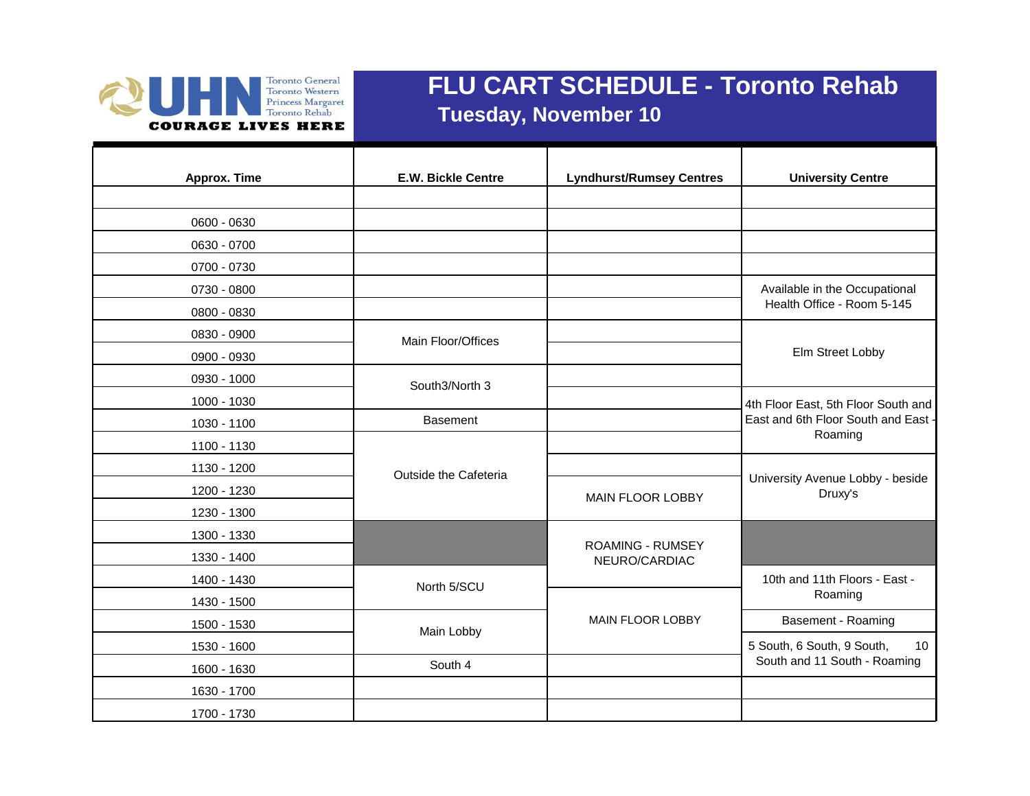

## **FLU CART SCHEDULE - Toronto Rehab Tuesday, November 10**

| Approx. Time | <b>E.W. Bickle Centre</b> | <b>Lyndhurst/Rumsey Centres</b> | <b>University Centre</b>                    |
|--------------|---------------------------|---------------------------------|---------------------------------------------|
|              |                           |                                 |                                             |
| 0600 - 0630  |                           |                                 |                                             |
| 0630 - 0700  |                           |                                 |                                             |
| 0700 - 0730  |                           |                                 |                                             |
| 0730 - 0800  |                           |                                 | Available in the Occupational               |
| 0800 - 0830  |                           |                                 | Health Office - Room 5-145                  |
| 0830 - 0900  | Main Floor/Offices        |                                 |                                             |
| 0900 - 0930  |                           |                                 | Elm Street Lobby                            |
| 0930 - 1000  | South3/North 3            |                                 |                                             |
| 1000 - 1030  |                           |                                 | 4th Floor East, 5th Floor South and         |
| 1030 - 1100  | <b>Basement</b>           |                                 | East and 6th Floor South and East           |
| 1100 - 1130  |                           |                                 | Roaming                                     |
| 1130 - 1200  | Outside the Cafeteria     |                                 |                                             |
| 1200 - 1230  |                           | <b>MAIN FLOOR LOBBY</b>         | University Avenue Lobby - beside<br>Druxy's |
| 1230 - 1300  |                           |                                 |                                             |
| 1300 - 1330  |                           | <b>ROAMING - RUMSEY</b>         |                                             |
| 1330 - 1400  |                           | NEURO/CARDIAC                   |                                             |
| 1400 - 1430  | North 5/SCU               |                                 | 10th and 11th Floors - East -               |
| 1430 - 1500  |                           |                                 | Roaming                                     |
| 1500 - 1530  | Main Lobby                | <b>MAIN FLOOR LOBBY</b>         | Basement - Roaming                          |
| 1530 - 1600  |                           |                                 | 5 South, 6 South, 9 South,<br>10            |
| 1600 - 1630  | South 4                   |                                 | South and 11 South - Roaming                |
| 1630 - 1700  |                           |                                 |                                             |
| 1700 - 1730  |                           |                                 |                                             |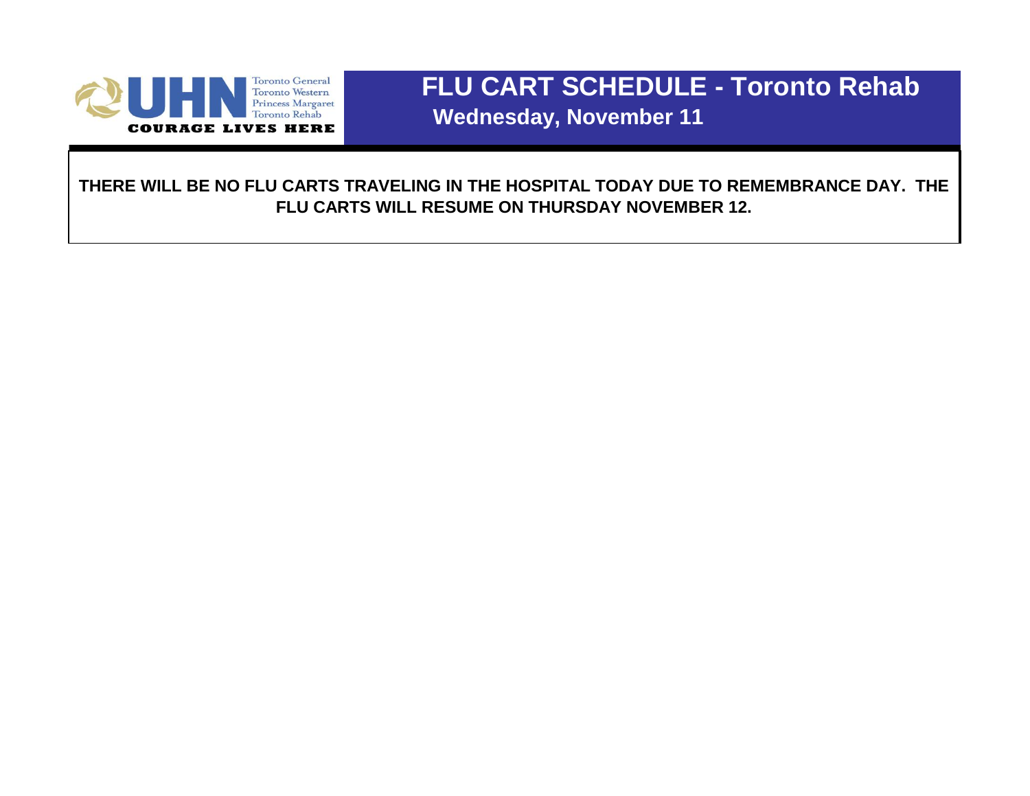

# **FLU CART SCHEDULE - Toronto Rehab Wednesday, November 11**

**THERE WILL BE NO FLU CARTS TRAVELING IN THE HOSPITAL TODAY DUE TO REMEMBRANCE DAY. THE FLU CARTS WILL RESUME ON THURSDAY NOVEMBER 12.**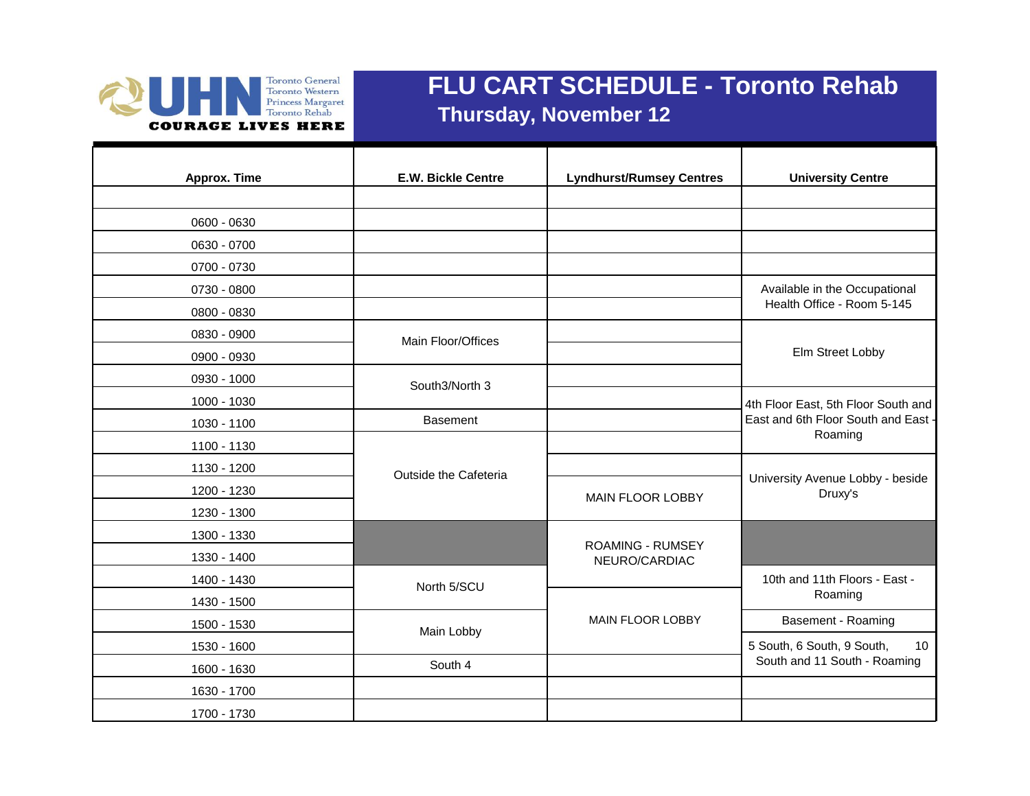

## **FLU CART SCHEDULE - Toronto Rehab Thursday, November 12**

| <b>Approx. Time</b> | <b>E.W. Bickle Centre</b> | <b>Lyndhurst/Rumsey Centres</b>          | <b>University Centre</b>                    |
|---------------------|---------------------------|------------------------------------------|---------------------------------------------|
|                     |                           |                                          |                                             |
| 0600 - 0630         |                           |                                          |                                             |
| 0630 - 0700         |                           |                                          |                                             |
| 0700 - 0730         |                           |                                          |                                             |
| 0730 - 0800         |                           |                                          | Available in the Occupational               |
| 0800 - 0830         |                           |                                          | Health Office - Room 5-145                  |
| 0830 - 0900         | Main Floor/Offices        |                                          |                                             |
| 0900 - 0930         |                           |                                          | Elm Street Lobby                            |
| 0930 - 1000         | South3/North 3            |                                          |                                             |
| 1000 - 1030         |                           |                                          | 4th Floor East, 5th Floor South and         |
| 1030 - 1100         | <b>Basement</b>           |                                          | East and 6th Floor South and East -         |
| 1100 - 1130         |                           |                                          | Roaming                                     |
| 1130 - 1200         | Outside the Cafeteria     |                                          |                                             |
| 1200 - 1230         |                           | <b>MAIN FLOOR LOBBY</b>                  | University Avenue Lobby - beside<br>Druxy's |
| 1230 - 1300         |                           |                                          |                                             |
| 1300 - 1330         |                           |                                          |                                             |
| 1330 - 1400         |                           | <b>ROAMING - RUMSEY</b><br>NEURO/CARDIAC |                                             |
| 1400 - 1430         | North 5/SCU               |                                          | 10th and 11th Floors - East -               |
| 1430 - 1500         |                           |                                          | Roaming                                     |
| 1500 - 1530         | Main Lobby                | <b>MAIN FLOOR LOBBY</b>                  | Basement - Roaming                          |
| 1530 - 1600         |                           |                                          | 5 South, 6 South, 9 South,<br>10            |
| 1600 - 1630         | South 4                   |                                          | South and 11 South - Roaming                |
| 1630 - 1700         |                           |                                          |                                             |
| 1700 - 1730         |                           |                                          |                                             |